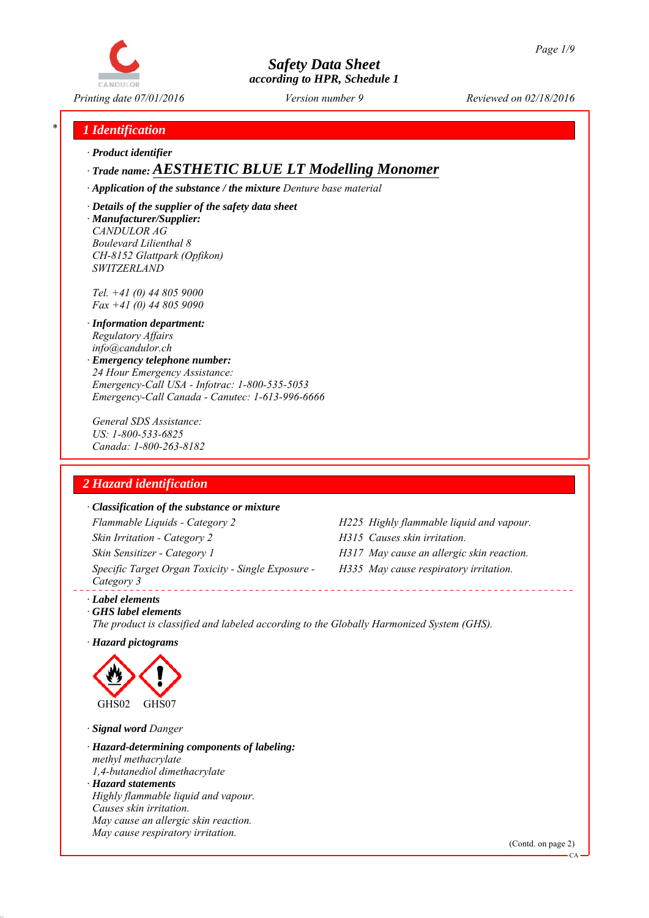

*Printing date 07/01/2016 Reviewed on 02/18/2016 Version number 9*

# *\* 1 Identification*

*∙ Product identifier*

# *∙ Trade name: AESTHETIC BLUE LT Modelling Monomer*

*∙ Application of the substance / the mixture Denture base material*

*∙ Details of the supplier of the safety data sheet ∙ Manufacturer/Supplier: CANDULOR AG Boulevard Lilienthal 8 CH-8152 Glattpark (Opfikon) SWITZERLAND*

*Tel. +41 (0) 44 805 9000 Fax +41 (0) 44 805 9090*

- *∙ Information department: Regulatory Affairs info@candulor.ch*
- *∙ Emergency telephone number: 24 Hour Emergency Assistance: Emergency-Call USA - Infotrac: 1-800-535-5053 Emergency-Call Canada - Canutec: 1-613-996-6666*

*General SDS Assistance: US: 1-800-533-6825 Canada: 1-800-263-8182*

# *2 Hazard identification*

#### *∙ Classification of the substance or mixture*

*Flammable Liquids - Category 2 H225 Highly flammable liquid and vapour. Skin Irritation - Category 2 H315 Causes skin irritation. Skin Sensitizer - Category 1 H317 May cause an allergic skin reaction. Specific Target Organ Toxicity - Single Exposure - Category 3* 

- 
- 
- *H335 May cause respiratory irritation.*

*∙ Label elements*

*∙ GHS label elements The product is classified and labeled according to the Globally Harmonized System (GHS).*

*∙ Hazard pictograms*



*∙ Signal word Danger*

*∙ Hazard-determining components of labeling: methyl methacrylate 1,4-butanediol dimethacrylate ∙ Hazard statements Highly flammable liquid and vapour. Causes skin irritation. May cause an allergic skin reaction. May cause respiratory irritation.*

(Contd. on page 2)

CA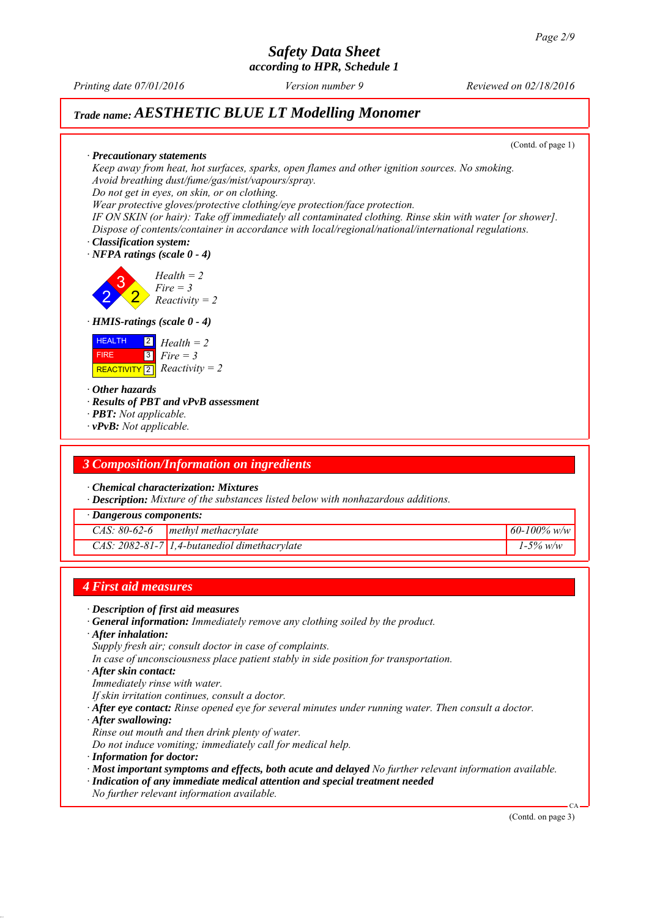# *Safety Data Sheet*

*according to HPR, Schedule 1*

*Printing date 07/01/2016 Reviewed on 02/18/2016 Version number 9*

# *Trade name: AESTHETIC BLUE LT Modelling Monomer*

(Contd. of page 1)

*∙ Precautionary statements Keep away from heat, hot surfaces, sparks, open flames and other ignition sources. No smoking. Avoid breathing dust/fume/gas/mist/vapours/spray. Do not get in eyes, on skin, or on clothing.*

*Wear protective gloves/protective clothing/eye protection/face protection.*

*IF ON SKIN (or hair): Take off immediately all contaminated clothing. Rinse skin with water [or shower]. Dispose of contents/container in accordance with local/regional/national/international regulations.*

*∙ Classification system: ∙ NFPA ratings (scale 0 - 4)*

2 3 2 *Health = 2 Fire = 3 Reactivity = 2*

*∙ HMIS-ratings (scale 0 - 4)*



*∙ Other hazards*

*∙ Results of PBT and vPvB assessment*

- *∙ PBT: Not applicable.*
- *∙ vPvB: Not applicable.*

### *3 Composition/Information on ingredients*

*∙ Chemical characterization: Mixtures*

*∙ Description: Mixture of the substances listed below with nonhazardous additions.*

*∙ Dangerous components:*

|  | CAS: $80-62-6$   methyl methacrylate           | 60-100% w/w   |
|--|------------------------------------------------|---------------|
|  | $CAS: 2082-81-7$ 1,4-butanediol dimethacrylate | $1 - 5\%$ w/w |

### *4 First aid measures*

- *∙ Description of first aid measures*
- *∙ General information: Immediately remove any clothing soiled by the product.*
- *∙ After inhalation:*
- *Supply fresh air; consult doctor in case of complaints.*
- *In case of unconsciousness place patient stably in side position for transportation.*
- *∙ After skin contact:*
- *Immediately rinse with water.*
- *If skin irritation continues, consult a doctor.*
- *∙ After eye contact: Rinse opened eye for several minutes under running water. Then consult a doctor.*
- *∙ After swallowing:*
- *Rinse out mouth and then drink plenty of water.*
- *Do not induce vomiting; immediately call for medical help.*
- *∙ Information for doctor:*
- *∙ Most important symptoms and effects, both acute and delayed No further relevant information available.*
- *∙ Indication of any immediate medical attention and special treatment needed*
- *No further relevant information available.*

(Contd. on page 3)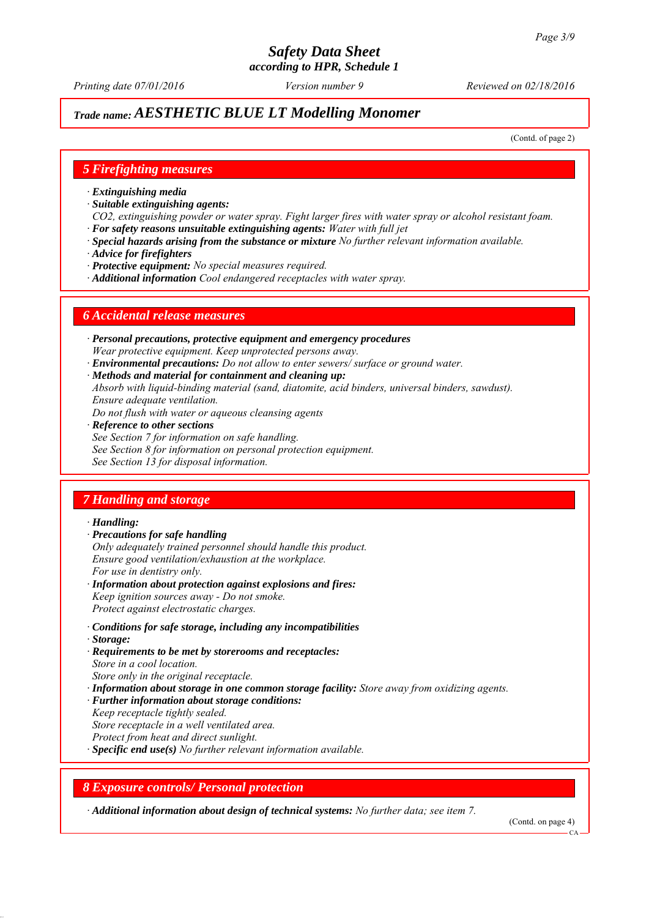*Printing date 07/01/2016 Reviewed on 02/18/2016 Version number 9*

# *Trade name: AESTHETIC BLUE LT Modelling Monomer*

(Contd. of page 2)

### *5 Firefighting measures*

- *∙ Extinguishing media*
- *∙ Suitable extinguishing agents:*
- *CO2, extinguishing powder or water spray. Fight larger fires with water spray or alcohol resistant foam. ∙ For safety reasons unsuitable extinguishing agents: Water with full jet*
- *∙ Special hazards arising from the substance or mixture No further relevant information available.*
- *∙ Advice for firefighters*
- *∙ Protective equipment: No special measures required.*
- *∙ Additional information Cool endangered receptacles with water spray.*

#### *6 Accidental release measures*

- *∙ Personal precautions, protective equipment and emergency procedures Wear protective equipment. Keep unprotected persons away.*
- *∙ Environmental precautions: Do not allow to enter sewers/ surface or ground water.*
- *∙ Methods and material for containment and cleaning up:*
- *Absorb with liquid-binding material (sand, diatomite, acid binders, universal binders, sawdust). Ensure adequate ventilation.*
- *Do not flush with water or aqueous cleansing agents*
- *∙ Reference to other sections*
- *See Section 7 for information on safe handling.*
- *See Section 8 for information on personal protection equipment.*
- *See Section 13 for disposal information.*

## *7 Handling and storage*

#### *∙ Handling:*

- *∙ Precautions for safe handling*
- *Only adequately trained personnel should handle this product. Ensure good ventilation/exhaustion at the workplace. For use in dentistry only.*
- *∙ Information about protection against explosions and fires: Keep ignition sources away - Do not smoke. Protect against electrostatic charges.*
- *∙ Conditions for safe storage, including any incompatibilities*
- *∙ Storage:*
- *∙ Requirements to be met by storerooms and receptacles: Store in a cool location. Store only in the original receptacle.*
- *∙ Information about storage in one common storage facility: Store away from oxidizing agents.*
- *∙ Further information about storage conditions:*
- *Keep receptacle tightly sealed.*
- *Store receptacle in a well ventilated area.*
- *Protect from heat and direct sunlight.*
- *∙ Specific end use(s) No further relevant information available.*

## *8 Exposure controls/ Personal protection*

*∙ Additional information about design of technical systems: No further data; see item 7.*

(Contd. on page 4)

 $CA$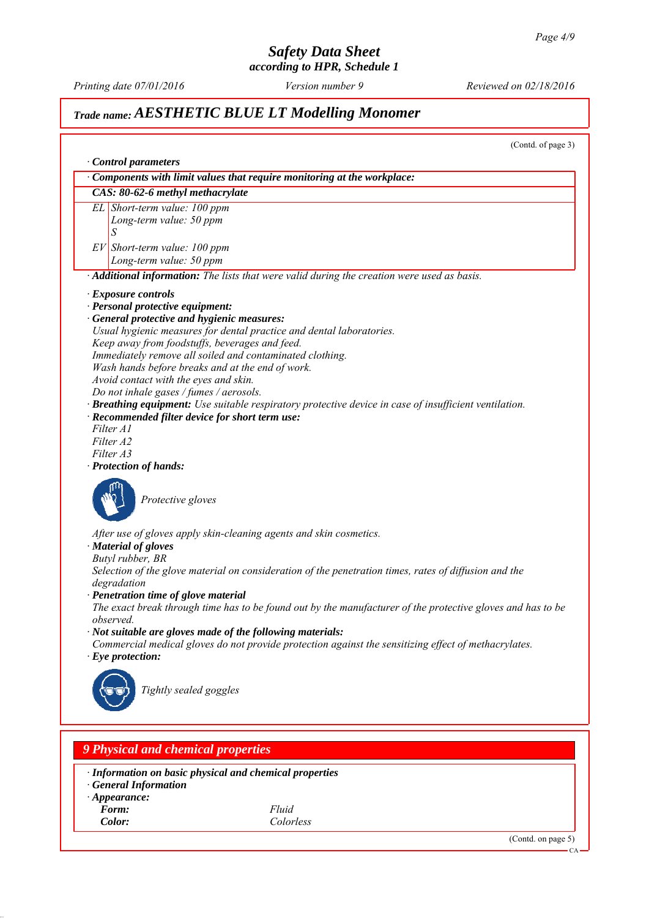*Printing date 07/01/2016 Reviewed on 02/18/2016 Version number 9*

# *Trade name: AESTHETIC BLUE LT Modelling Monomer*

(Contd. of page 3) *∙ Control parameters ∙ Components with limit values that require monitoring at the workplace: CAS: 80-62-6 methyl methacrylate EL Short-term value: 100 ppm Long-term value: 50 ppm S EV Short-term value: 100 ppm Long-term value: 50 ppm ∙ Additional information: The lists that were valid during the creation were used as basis. ∙ Exposure controls ∙ Personal protective equipment: ∙ General protective and hygienic measures: Usual hygienic measures for dental practice and dental laboratories. Keep away from foodstuffs, beverages and feed. Immediately remove all soiled and contaminated clothing. Wash hands before breaks and at the end of work. Avoid contact with the eyes and skin. Do not inhale gases / fumes / aerosols. ∙ Breathing equipment: Use suitable respiratory protective device in case of insufficient ventilation. ∙ Recommended filter device for short term use: Filter A1 Filter A2 Filter A3 ∙ Protection of hands: Protective gloves After use of gloves apply skin-cleaning agents and skin cosmetics. ∙ Material of gloves Butyl rubber, BR Selection of the glove material on consideration of the penetration times, rates of diffusion and the degradation ∙ Penetration time of glove material The exact break through time has to be found out by the manufacturer of the protective gloves and has to be observed. ∙ Not suitable are gloves made of the following materials: Commercial medical gloves do not provide protection against the sensitizing effect of methacrylates. ∙ Eye protection: Tightly sealed goggles 9 Physical and chemical properties*

*∙ Information on basic physical and chemical properties*

- *∙ General Information*
- *∙ Appearance:*
- *Form: Fluid*

*Color: Colorless*

(Contd. on page 5)

CA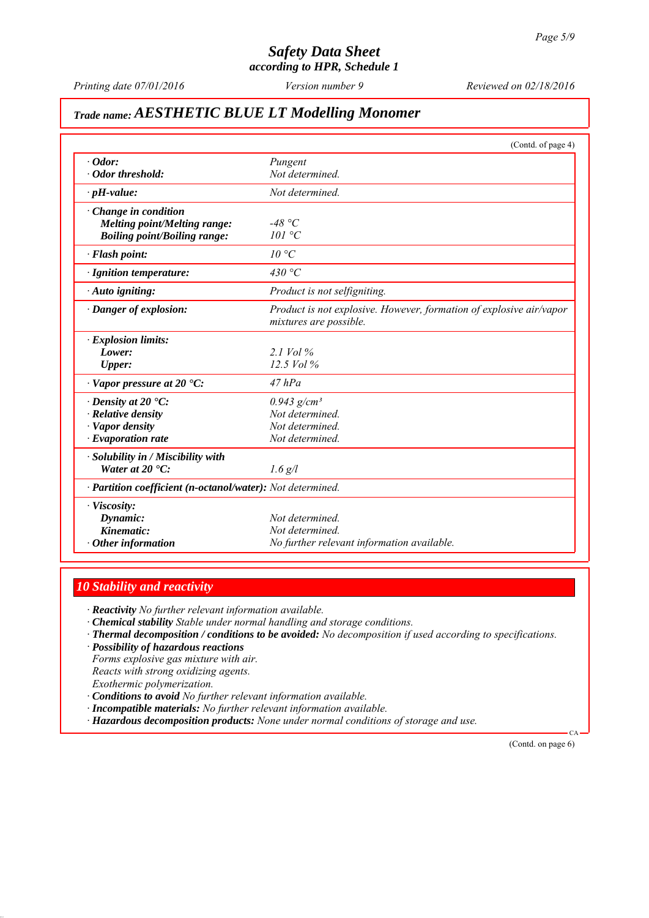*Printing date 07/01/2016 Reviewed on 02/18/2016 Version number 9*

# *Trade name: AESTHETIC BLUE LT Modelling Monomer*

|                                                            | (Contd. of page 4)                                                                            |
|------------------------------------------------------------|-----------------------------------------------------------------------------------------------|
| $\cdot$ Odor:                                              | Pungent                                                                                       |
| · Odor threshold:                                          | Not determined.                                                                               |
| $\cdot$ pH-value:                                          | Not determined.                                                                               |
| $\cdot$ Change in condition                                |                                                                                               |
| Melting point/Melting range:                               | -48 °C                                                                                        |
| <b>Boiling point/Boiling range:</b>                        | 101 °C                                                                                        |
| · Flash point:                                             | 10 °C                                                                                         |
| · Ignition temperature:                                    | 430 °C                                                                                        |
| · Auto igniting:                                           | Product is not selfigniting.                                                                  |
| · Danger of explosion:                                     | Product is not explosive. However, formation of explosive air/vapor<br>mixtures are possible. |
| $\cdot$ Explosion limits:                                  |                                                                                               |
| Lower:                                                     | 2.1 Vol $\%$                                                                                  |
| Upper:                                                     | $12.5$ Vol $%$                                                                                |
| $\cdot$ Vapor pressure at 20 $\cdot$ C:                    | $47$ hPa                                                                                      |
| $\cdot$ Density at 20 $\cdot$ C:                           | $0.943$ g/cm <sup>3</sup>                                                                     |
| $\cdot$ Relative density                                   | Not determined.                                                                               |
| · Vapor density                                            | Not determined.                                                                               |
| $\cdot$ Evaporation rate                                   | Not determined.                                                                               |
| · Solubility in / Miscibility with                         |                                                                                               |
| Water at $20^{\circ}$ C:                                   | $1.6$ g/l                                                                                     |
| · Partition coefficient (n-octanol/water): Not determined. |                                                                                               |
| · Viscosity:                                               |                                                                                               |
| Dynamic:                                                   | Not determined.                                                                               |
| Kinematic:                                                 | Not determined                                                                                |
| $\cdot$ Other information                                  | No further relevant information available.                                                    |

# *10 Stability and reactivity*

*∙ Reactivity No further relevant information available.*

- *∙ Chemical stability Stable under normal handling and storage conditions.*
- *∙ Thermal decomposition / conditions to be avoided: No decomposition if used according to specifications.*
- *∙ Possibility of hazardous reactions*

*Forms explosive gas mixture with air. Reacts with strong oxidizing agents. Exothermic polymerization.*

- *∙ Conditions to avoid No further relevant information available.*
- *∙ Incompatible materials: No further relevant information available.*
- *∙ Hazardous decomposition products: None under normal conditions of storage and use.*

(Contd. on page 6)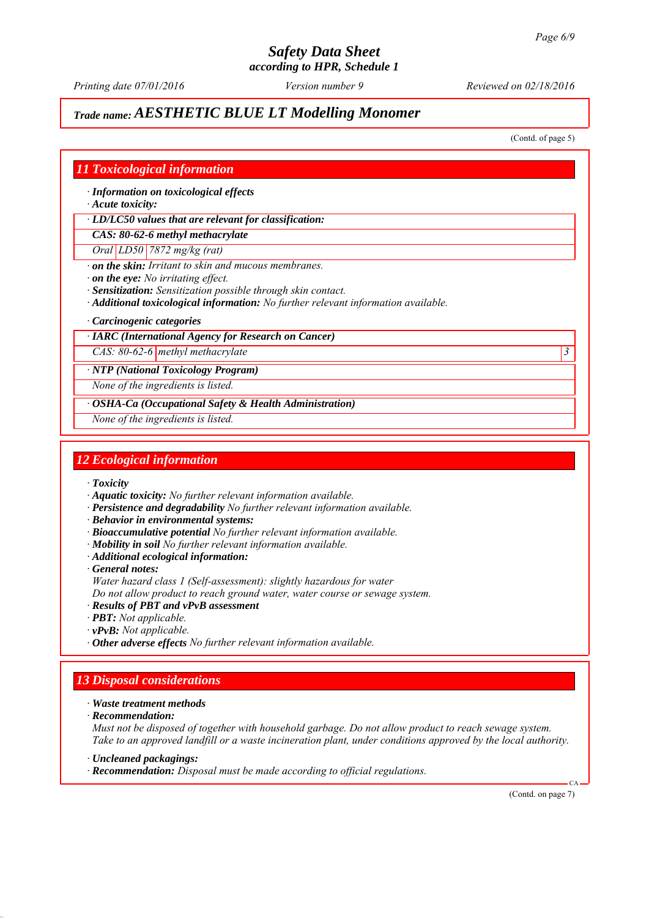*Printing date 07/01/2016 Reviewed on 02/18/2016 Version number 9*

# *Trade name: AESTHETIC BLUE LT Modelling Monomer*

(Contd. of page 5)

## *11 Toxicological information*

*∙ Information on toxicological effects*

*∙ Acute toxicity:*

*∙ LD/LC50 values that are relevant for classification:*

*CAS: 80-62-6 methyl methacrylate*

*Oral LD50 7872 mg/kg (rat)*

*∙ on the skin: Irritant to skin and mucous membranes.*

*∙ on the eye: No irritating effect.*

*∙ Sensitization: Sensitization possible through skin contact.*

*∙ Additional toxicological information: No further relevant information available.*

*∙ Carcinogenic categories*

#### *∙ IARC (International Agency for Research on Cancer)*

*CAS: 80-62-6 methyl methacrylate 3* 

*∙ NTP (National Toxicology Program)*

*None of the ingredients is listed.*

*∙ OSHA-Ca (Occupational Safety & Health Administration)*

*None of the ingredients is listed.*

### *12 Ecological information*

*∙ Toxicity*

- *∙ Aquatic toxicity: No further relevant information available.*
- *∙ Persistence and degradability No further relevant information available.*
- *∙ Behavior in environmental systems:*
- *∙ Bioaccumulative potential No further relevant information available.*
- *∙ Mobility in soil No further relevant information available.*
- *∙ Additional ecological information:*

*∙ General notes:*

- *Water hazard class 1 (Self-assessment): slightly hazardous for water*
- *Do not allow product to reach ground water, water course or sewage system.*
- *∙ Results of PBT and vPvB assessment*
- *∙ PBT: Not applicable.*
- *∙ vPvB: Not applicable.*
- *∙ Other adverse effects No further relevant information available.*

# *13 Disposal considerations*

*∙ Waste treatment methods*

*∙ Recommendation:*

*Must not be disposed of together with household garbage. Do not allow product to reach sewage system. Take to an approved landfill or a waste incineration plant, under conditions approved by the local authority.*

*∙ Uncleaned packagings:*

*∙ Recommendation: Disposal must be made according to official regulations.*

(Contd. on page 7)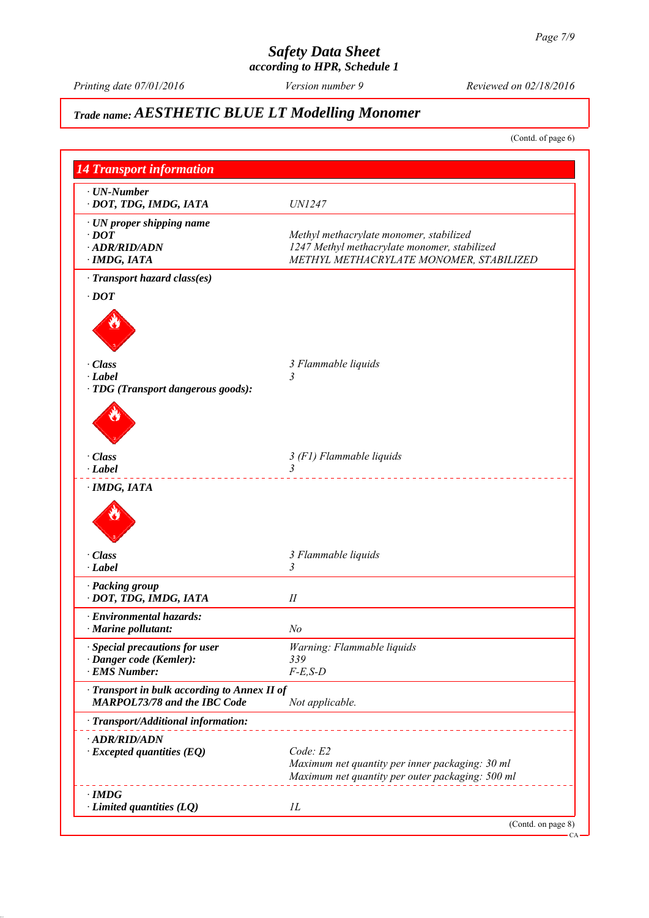# *Safety Data Sheet*

*according to HPR, Schedule 1*

*Printing date 07/01/2016 Reviewed on 02/18/2016 Version number 9*

# *Trade name: AESTHETIC BLUE LT Modelling Monomer*

(Contd. of page 6)

| $\cdot$ UN-Number<br>· DOT, TDG, IMDG, IATA                                       | <i>UN1247</i>                                                                                                                      |
|-----------------------------------------------------------------------------------|------------------------------------------------------------------------------------------------------------------------------------|
| · UN proper shipping name<br>$\cdot$ DOT<br>$-ADR/RID/ADN$<br>$\cdot$ IMDG, IATA  | Methyl methacrylate monomer, stabilized<br>1247 Methyl methacrylate monomer, stabilized<br>METHYL METHACRYLATE MONOMER, STABILIZED |
| · Transport hazard class(es)                                                      |                                                                                                                                    |
| $\cdot$ DOT                                                                       |                                                                                                                                    |
|                                                                                   |                                                                                                                                    |
| · Class                                                                           | 3 Flammable liquids                                                                                                                |
| $\cdot$ Label<br>· TDG (Transport dangerous goods):                               |                                                                                                                                    |
|                                                                                   |                                                                                                                                    |
| $\cdot$ Class                                                                     | 3 (F1) Flammable liquids                                                                                                           |
| $\cdot$ Label<br>$\cdot$ IMDG, IATA                                               | $\mathfrak{Z}$                                                                                                                     |
| · Class<br>$\cdot$ Label                                                          | 3 Flammable liquids<br>3                                                                                                           |
| · Packing group                                                                   |                                                                                                                                    |
| · DOT, TDG, IMDG, IATA                                                            | П                                                                                                                                  |
| · Environmental hazards:                                                          |                                                                                                                                    |
| $\cdot$ Marine pollutant:                                                         | No                                                                                                                                 |
| · Special precautions for user<br>· Danger code (Kemler):                         | Warning: Flammable liquids<br>339                                                                                                  |
| · EMS Number:                                                                     | $F-E$ , $S-D$                                                                                                                      |
| Transport in bulk according to Annex II of<br><b>MARPOL73/78 and the IBC Code</b> | Not applicable.                                                                                                                    |
| · Transport/Additional information:                                               |                                                                                                                                    |
| · ADR/RID/ADN<br>$\cdot$ Excepted quantities (EQ)                                 | Code: E2<br>Maximum net quantity per inner packaging: 30 ml<br>Maximum net quantity per outer packaging: 500 ml                    |
|                                                                                   |                                                                                                                                    |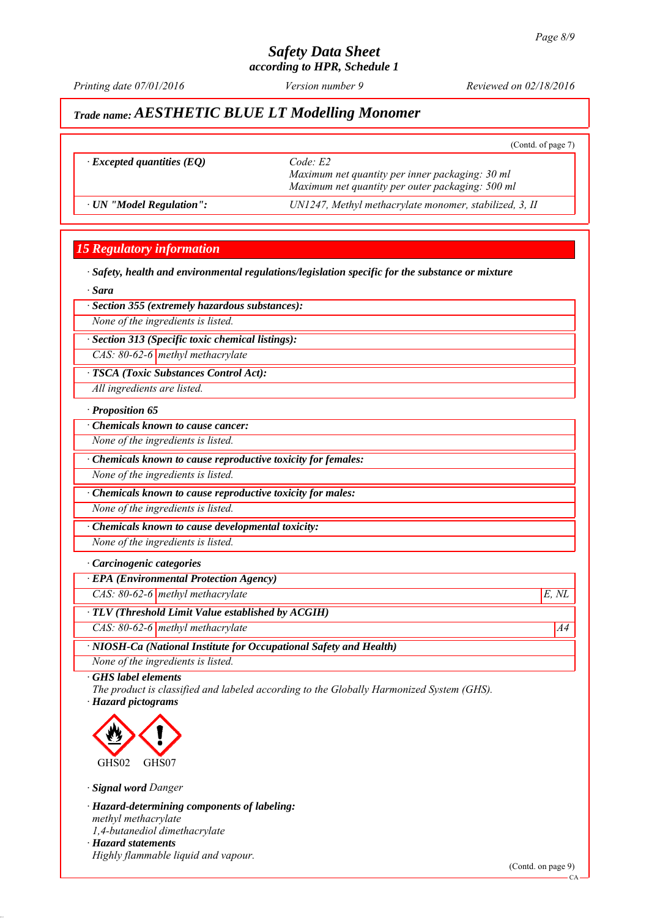*Printing date 07/01/2016 Reviewed on 02/18/2016 Version number 9*

(Contd. of page 7)

# *Trade name: AESTHETIC BLUE LT Modelling Monomer*

*∙ Excepted quantities (EQ) Code: E2*

*Maximum net quantity per inner packaging: 30 ml Maximum net quantity per outer packaging: 500 ml ∙ UN "Model Regulation": UN1247, Methyl methacrylate monomer, stabilized, 3, II*

## *15 Regulatory information*

*∙ Safety, health and environmental regulations/legislation specific for the substance or mixture*

*∙ Sara*

#### *∙ Section 355 (extremely hazardous substances):*

*None of the ingredients is listed.*

*∙ Section 313 (Specific toxic chemical listings):*

*CAS: 80-62-6 methyl methacrylate*

*∙ TSCA (Toxic Substances Control Act):*

*All ingredients are listed.*

#### *∙ Proposition 65*

*∙ Chemicals known to cause cancer:*

*None of the ingredients is listed.*

*∙ Chemicals known to cause reproductive toxicity for females:*

*None of the ingredients is listed.*

*∙ Chemicals known to cause reproductive toxicity for males:*

*None of the ingredients is listed.*

*∙ Chemicals known to cause developmental toxicity:*

*None of the ingredients is listed.*

#### *∙ Carcinogenic categories*

*∙ EPA (Environmental Protection Agency)*

*CAS: 80-62-6 methyl methacrylate E, NL*

*∙ TLV (Threshold Limit Value established by ACGIH)*

*CAS: 80-62-6 methyl methacrylate* A4<sup>4</sup>

*∙ NIOSH-Ca (National Institute for Occupational Safety and Health)*

*None of the ingredients is listed.*

*∙ GHS label elements*

*The product is classified and labeled according to the Globally Harmonized System (GHS). ∙ Hazard pictograms*



*∙ Signal word Danger*

*∙ Hazard-determining components of labeling: methyl methacrylate 1,4-butanediol dimethacrylate ∙ Hazard statements*

*Highly flammable liquid and vapour.*

(Contd. on page 9)